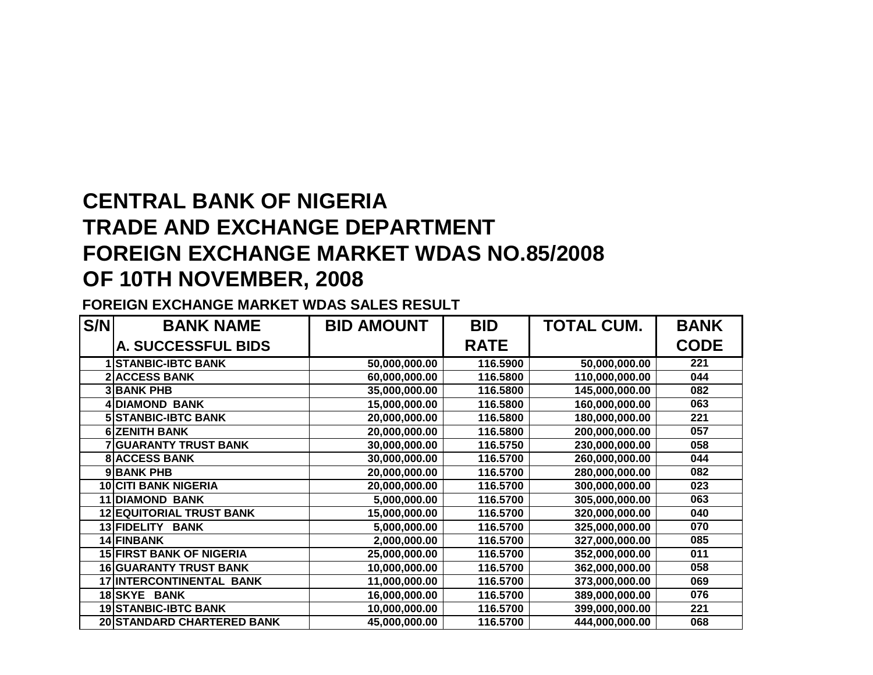## **CENTRAL BANK OF NIGERIA TRADE AND EXCHANGE DEPARTMENT FOREIGN EXCHANGE MARKET WDAS NO.85/2008OF 10TH NOVEMBER, 2008**

## **FOREIGN EXCHANGE MARKET WDAS SALES RESULT**

| S/N | <b>BANK NAME</b>                | <b>BID AMOUNT</b> | <b>BID</b>  | <b>TOTAL CUM.</b> | <b>BANK</b> |
|-----|---------------------------------|-------------------|-------------|-------------------|-------------|
|     | A. SUCCESSFUL BIDS              |                   | <b>RATE</b> |                   | <b>CODE</b> |
|     | <b>STANBIC-IBTC BANK</b>        | 50,000,000.00     | 116.5900    | 50,000,000.00     | 221         |
|     | <b>2 ACCESS BANK</b>            | 60,000,000.00     | 116.5800    | 110,000,000.00    | 044         |
|     | <b>3 BANK PHB</b>               | 35,000,000.00     | 116.5800    | 145,000,000.00    | 082         |
|     | <b>4 DIAMOND BANK</b>           | 15,000,000.00     | 116.5800    | 160,000,000.00    | 063         |
|     | <b>5 STANBIC-IBTC BANK</b>      | 20,000,000.00     | 116.5800    | 180,000,000.00    | 221         |
|     | <b>6 ZENITH BANK</b>            | 20,000,000.00     | 116.5800    | 200,000,000.00    | 057         |
|     | <b>7 GUARANTY TRUST BANK</b>    | 30,000,000.00     | 116.5750    | 230,000,000.00    | 058         |
|     | <b>8 ACCESS BANK</b>            | 30,000,000.00     | 116.5700    | 260,000,000.00    | 044         |
|     | 9 BANK PHB                      | 20,000,000.00     | 116.5700    | 280,000,000.00    | 082         |
|     | <b>10 CITI BANK NIGERIA</b>     | 20,000,000.00     | 116.5700    | 300,000,000.00    | 023         |
|     | <b>11 DIAMOND BANK</b>          | 5,000,000.00      | 116.5700    | 305,000,000.00    | 063         |
|     | <b>12 EQUITORIAL TRUST BANK</b> | 15,000,000.00     | 116.5700    | 320,000,000.00    | 040         |
|     | 13 FIDELITY<br><b>BANK</b>      | 5,000,000.00      | 116.5700    | 325,000,000.00    | 070         |
|     | 14 FINBANK                      | 2,000,000.00      | 116.5700    | 327,000,000.00    | 085         |
|     | <b>15 FIRST BANK OF NIGERIA</b> | 25,000,000.00     | 116.5700    | 352,000,000.00    | 011         |
|     | <b>16 GUARANTY TRUST BANK</b>   | 10,000,000.00     | 116.5700    | 362,000,000.00    | 058         |
|     | 17 INTERCONTINENTAL BANK        | 11,000,000.00     | 116.5700    | 373,000,000.00    | 069         |
|     | 18 SKYE BANK                    | 16,000,000.00     | 116.5700    | 389,000,000.00    | 076         |
|     | <b>19 STANBIC-IBTC BANK</b>     | 10,000,000.00     | 116.5700    | 399,000,000.00    | 221         |
|     | 20 STANDARD CHARTERED BANK      | 45,000,000.00     | 116.5700    | 444,000,000.00    | 068         |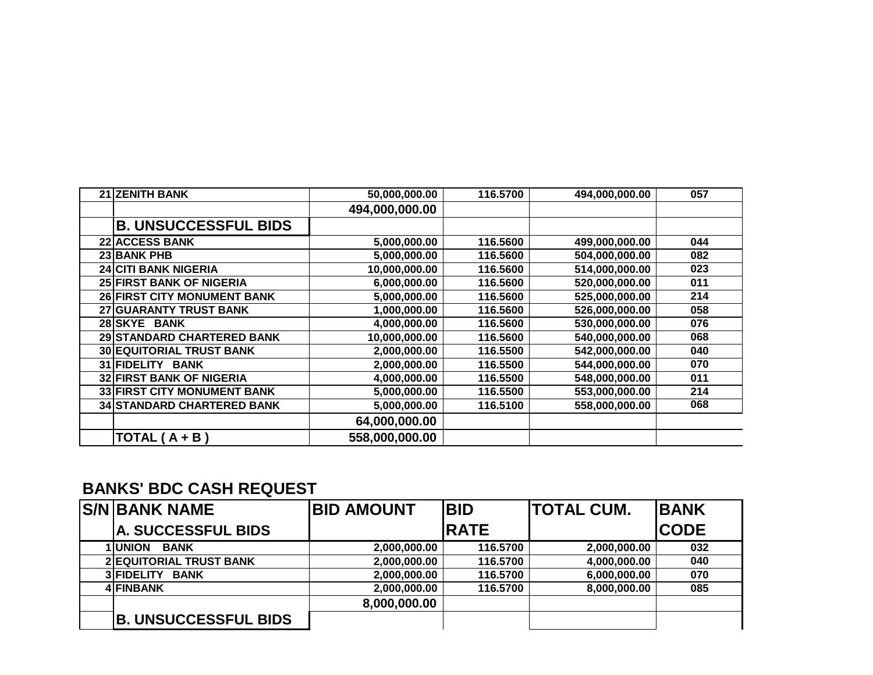| <b>BANKS' BDC CASH REQUEST</b> |  |  |  |  |
|--------------------------------|--|--|--|--|
|--------------------------------|--|--|--|--|

| <b>S/N BANK NAME</b>           | <b>BID AMOUNT</b> | <b>BID</b>  | <b>ITOTAL CUM.</b> | <b>IBANK</b> |
|--------------------------------|-------------------|-------------|--------------------|--------------|
| <b>A. SUCCESSFUL BIDS</b>      |                   | <b>RATE</b> |                    | <b>CODE</b>  |
| <b>1 UNION</b><br><b>BANK</b>  | 2,000,000.00      | 116.5700    | 2,000,000.00       | 032          |
| <b>2 EQUITORIAL TRUST BANK</b> | 2,000,000.00      | 116.5700    | 4,000,000.00       | 040          |
| 3 FIDELITY<br><b>BANK</b>      | 2,000,000.00      | 116.5700    | 6,000,000.00       | 070          |
| <b>4 FINBANK</b>               | 2,000,000.00      | 116.5700    | 8,000,000.00       | 085          |
|                                | 8,000,000.00      |             |                    |              |
| <b>B. UNSUCCESSFUL BIDS</b>    |                   |             |                    |              |

| 21 ZENITH BANK                     | 50,000,000.00  | 116.5700 | 494,000,000.00 | 057 |
|------------------------------------|----------------|----------|----------------|-----|
|                                    | 494,000,000.00 |          |                |     |
| <b>B. UNSUCCESSFUL BIDS</b>        |                |          |                |     |
| <b>22 ACCESS BANK</b>              | 5,000,000.00   | 116.5600 | 499,000,000.00 | 044 |
| 23 BANK PHB                        | 5,000,000.00   | 116.5600 | 504,000,000.00 | 082 |
| <b>24 CITI BANK NIGERIA</b>        | 10,000,000.00  | 116.5600 | 514,000,000.00 | 023 |
| 25 FIRST BANK OF NIGERIA           | 6,000,000.00   | 116.5600 | 520,000,000.00 | 011 |
| <b>26 FIRST CITY MONUMENT BANK</b> | 5,000,000.00   | 116.5600 | 525,000,000.00 | 214 |
| 27 GUARANTY TRUST BANK             | 1,000,000.00   | 116.5600 | 526,000,000.00 | 058 |
| 28 SKYE BANK                       | 4,000,000.00   | 116.5600 | 530,000,000.00 | 076 |
| 29 STANDARD CHARTERED BANK         | 10,000,000.00  | 116.5600 | 540,000,000.00 | 068 |
| <b>30 EQUITORIAL TRUST BANK</b>    | 2,000,000.00   | 116,5500 | 542,000,000.00 | 040 |
| 31 FIDELITY BANK                   | 2,000,000.00   | 116.5500 | 544,000,000.00 | 070 |
| <b>32 FIRST BANK OF NIGERIA</b>    | 4,000,000.00   | 116.5500 | 548,000,000.00 | 011 |
| 33 FIRST CITY MONUMENT BANK        | 5,000,000.00   | 116.5500 | 553,000,000.00 | 214 |
| <b>34 STANDARD CHARTERED BANK</b>  | 5,000,000.00   | 116.5100 | 558,000,000.00 | 068 |
|                                    | 64,000,000.00  |          |                |     |
| TOTAL $(A + B)$                    | 558,000,000.00 |          |                |     |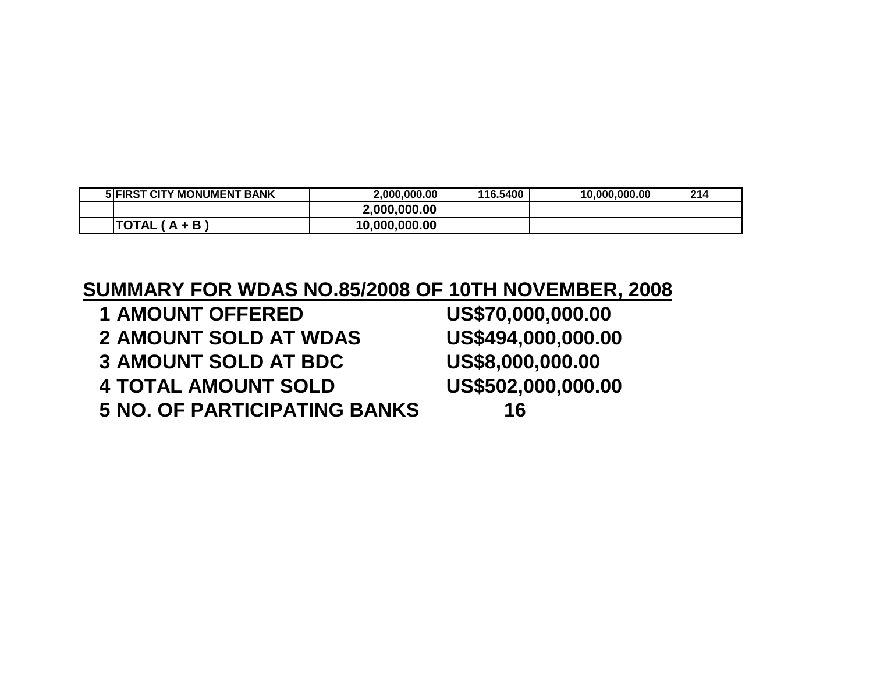| <b>5 FIRST CITY MONUMENT BANK</b> | 2.000.000.00  | 116.5400 | 10.000.000.00 | 214 |
|-----------------------------------|---------------|----------|---------------|-----|
|                                   | 2,000,000.00  |          |               |     |
| <b>TOTAL</b><br>.+ B              | 10,000,000.00 |          |               |     |

## **SUMMARY FOR WDAS NO.85/2008 OF 10TH NOVEMBER, 2008**

| <b>1 AMOUNT OFFERED</b>             | US\$70,000,000.00  |
|-------------------------------------|--------------------|
| <b>2 AMOUNT SOLD AT WDAS</b>        | US\$494,000,000.00 |
| <b>3 AMOUNT SOLD AT BDC</b>         | US\$8,000,000.00   |
| <b>4 TOTAL AMOUNT SOLD</b>          | US\$502,000,000.00 |
| <b>5 NO. OF PARTICIPATING BANKS</b> | 16                 |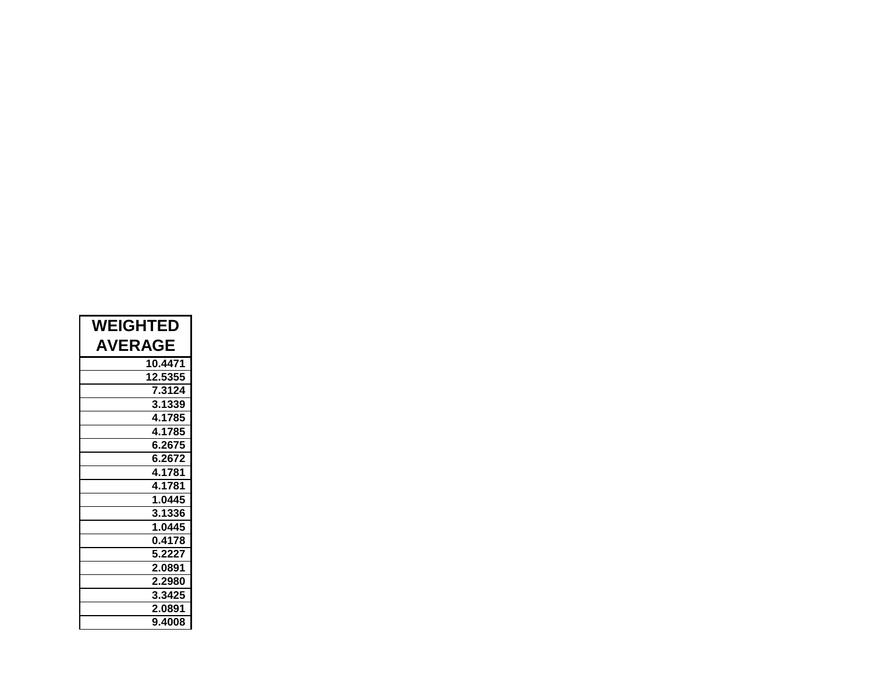| <b>WEIGHTED</b> |
|-----------------|
| <b>AVERAGE</b>  |
| 10.4471         |
| 12.5355         |
| 7.3124          |
| 3.1339          |
| 4.1785          |
| 4.1785          |
| 6.2675          |
| 6.2672          |
| 4.1781          |
| 4.1781          |
| 1.0445          |
| 3.1336          |
| 1.0445          |
| 0.4178          |
| 5.2227          |
| 2.0891          |
| 2.2980          |
| 3.3425          |
| 2.0891          |
| 9.4008          |